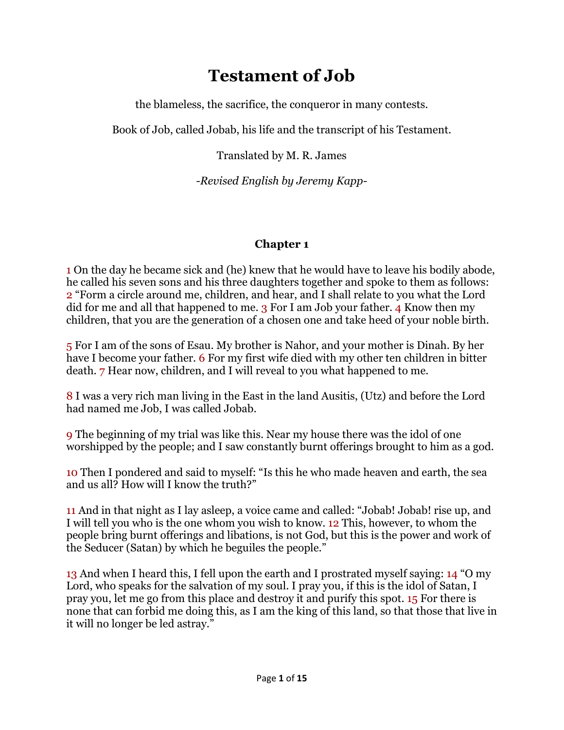# **Testament of Job**

the blameless, the sacrifice, the conqueror in many contests.

Book of Job, called Jobab, his life and the transcript of his Testament.

Translated by M. R. James

*-Revised English by Jeremy Kapp-*

## **Chapter 1**

1 On the day he became sick and (he) knew that he would have to leave his bodily abode, he called his seven sons and his three daughters together and spoke to them as follows: 2 "Form a circle around me, children, and hear, and I shall relate to you what the Lord did for me and all that happened to me. 3 For I am Job your father. 4 Know then my children, that you are the generation of a chosen one and take heed of your noble birth.

5 For I am of the sons of Esau. My brother is Nahor, and your mother is Dinah. By her have I become your father. 6 For my first wife died with my other ten children in bitter death. 7 Hear now, children, and I will reveal to you what happened to me.

8 I was a very rich man living in the East in the land Ausitis, (Utz) and before the Lord had named me Job, I was called Jobab.

9 The beginning of my trial was like this. Near my house there was the idol of one worshipped by the people; and I saw constantly burnt offerings brought to him as a god.

10 Then I pondered and said to myself: "Is this he who made heaven and earth, the sea and us all? How will I know the truth?"

11 And in that night as I lay asleep, a voice came and called: "Jobab! Jobab! rise up, and I will tell you who is the one whom you wish to know. 12 This, however, to whom the people bring burnt offerings and libations, is not God, but this is the power and work of the Seducer (Satan) by which he beguiles the people."

13 And when I heard this, I fell upon the earth and I prostrated myself saying: 14 "O my Lord, who speaks for the salvation of my soul. I pray you, if this is the idol of Satan, I pray you, let me go from this place and destroy it and purify this spot. 15 For there is none that can forbid me doing this, as I am the king of this land, so that those that live in it will no longer be led astray."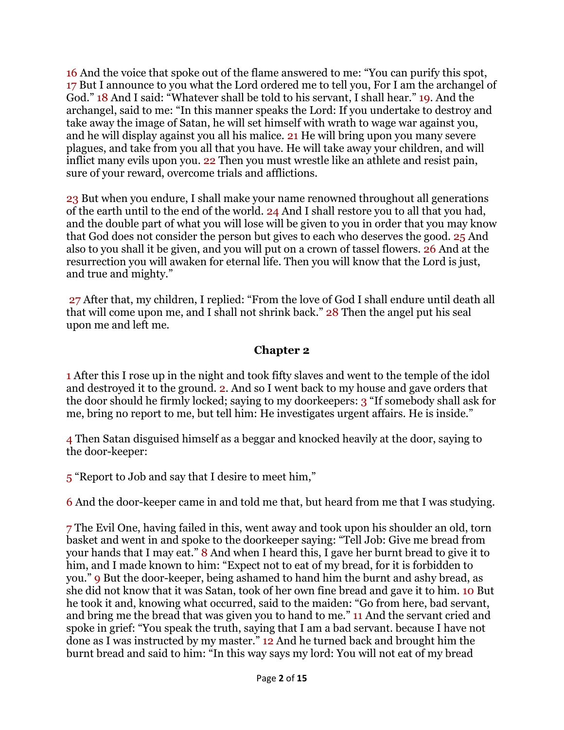16 And the voice that spoke out of the flame answered to me: "You can purify this spot, 17 But I announce to you what the Lord ordered me to tell you, For I am the archangel of God." 18 And I said: "Whatever shall be told to his servant, I shall hear." 19. And the archangel, said to me: "In this manner speaks the Lord: If you undertake to destroy and take away the image of Satan, he will set himself with wrath to wage war against you, and he will display against you all his malice. 21 He will bring upon you many severe plagues, and take from you all that you have. He will take away your children, and will inflict many evils upon you. 22 Then you must wrestle like an athlete and resist pain, sure of your reward, overcome trials and afflictions.

23 But when you endure, I shall make your name renowned throughout all generations of the earth until to the end of the world. 24 And I shall restore you to all that you had, and the double part of what you will lose will be given to you in order that you may know that God does not consider the person but gives to each who deserves the good. 25 And also to you shall it be given, and you will put on a crown of tassel flowers. 26 And at the resurrection you will awaken for eternal life. Then you will know that the Lord is just, and true and mighty."

27 After that, my children, I replied: "From the love of God I shall endure until death all that will come upon me, and I shall not shrink back." 28 Then the angel put his seal upon me and left me.

#### **Chapter 2**

1 After this I rose up in the night and took fifty slaves and went to the temple of the idol and destroyed it to the ground. 2. And so I went back to my house and gave orders that the door should he firmly locked; saying to my doorkeepers: 3 "If somebody shall ask for me, bring no report to me, but tell him: He investigates urgent affairs. He is inside."

4 Then Satan disguised himself as a beggar and knocked heavily at the door, saying to the door-keeper:

5 "Report to Job and say that I desire to meet him,"

6 And the door-keeper came in and told me that, but heard from me that I was studying.

7 The Evil One, having failed in this, went away and took upon his shoulder an old, torn basket and went in and spoke to the doorkeeper saying: "Tell Job: Give me bread from your hands that I may eat." 8 And when I heard this, I gave her burnt bread to give it to him, and I made known to him: "Expect not to eat of my bread, for it is forbidden to you." 9 But the door-keeper, being ashamed to hand him the burnt and ashy bread, as she did not know that it was Satan, took of her own fine bread and gave it to him. 10 But he took it and, knowing what occurred, said to the maiden: "Go from here, bad servant, and bring me the bread that was given you to hand to me." 11 And the servant cried and spoke in grief: "You speak the truth, saying that I am a bad servant. because I have not done as I was instructed by my master." 12 And he turned back and brought him the burnt bread and said to him: "In this way says my lord: You will not eat of my bread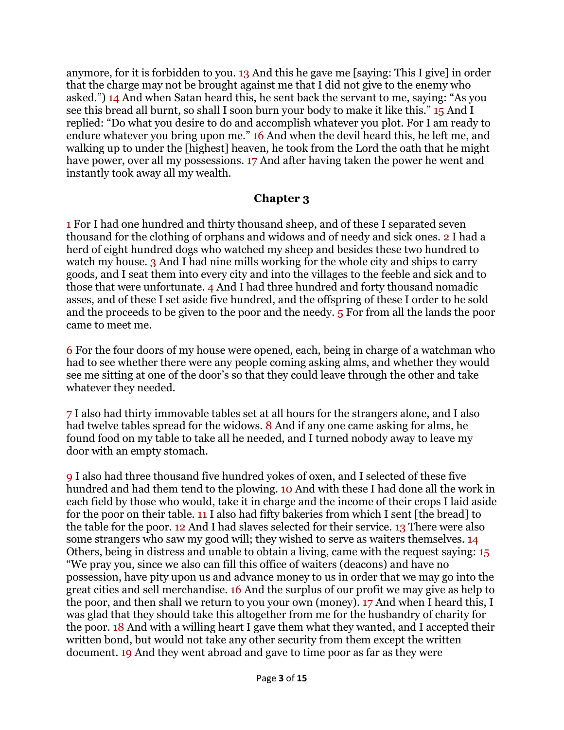anymore, for it is forbidden to you. 13 And this he gave me [saying: This I give] in order that the charge may not be brought against me that I did not give to the enemy who asked.") 14 And when Satan heard this, he sent back the servant to me, saying: "As you see this bread all burnt, so shall I soon burn your body to make it like this." 15 And I replied: "Do what you desire to do and accomplish whatever you plot. For I am ready to endure whatever you bring upon me." 16 And when the devil heard this, he left me, and walking up to under the [highest] heaven, he took from the Lord the oath that he might have power, over all my possessions. 17 And after having taken the power he went and instantly took away all my wealth.

#### **Chapter 3**

1 For I had one hundred and thirty thousand sheep, and of these I separated seven thousand for the clothing of orphans and widows and of needy and sick ones. 2 I had a herd of eight hundred dogs who watched my sheep and besides these two hundred to watch my house. 3 And I had nine mills working for the whole city and ships to carry goods, and I seat them into every city and into the villages to the feeble and sick and to those that were unfortunate. 4 And I had three hundred and forty thousand nomadic asses, and of these I set aside five hundred, and the offspring of these I order to he sold and the proceeds to be given to the poor and the needy. 5 For from all the lands the poor came to meet me.

6 For the four doors of my house were opened, each, being in charge of a watchman who had to see whether there were any people coming asking alms, and whether they would see me sitting at one of the door's so that they could leave through the other and take whatever they needed.

7 I also had thirty immovable tables set at all hours for the strangers alone, and I also had twelve tables spread for the widows. **8** And if any one came asking for alms, he found food on my table to take all he needed, and I turned nobody away to leave my door with an empty stomach.

9 I also had three thousand five hundred yokes of oxen, and I selected of these five hundred and had them tend to the plowing. 10 And with these I had done all the work in each field by those who would, take it in charge and the income of their crops I laid aside for the poor on their table. 11 I also had fifty bakeries from which I sent [the bread] to the table for the poor. 12 And I had slaves selected for their service. 13 There were also some strangers who saw my good will; they wished to serve as waiters themselves. 14 Others, being in distress and unable to obtain a living, came with the request saying: 15 "We pray you, since we also can fill this office of waiters (deacons) and have no possession, have pity upon us and advance money to us in order that we may go into the great cities and sell merchandise. 16 And the surplus of our profit we may give as help to the poor, and then shall we return to you your own (money). 17 And when I heard this, I was glad that they should take this altogether from me for the husbandry of charity for the poor. 18 And with a willing heart I gave them what they wanted, and I accepted their written bond, but would not take any other security from them except the written document. 19 And they went abroad and gave to time poor as far as they were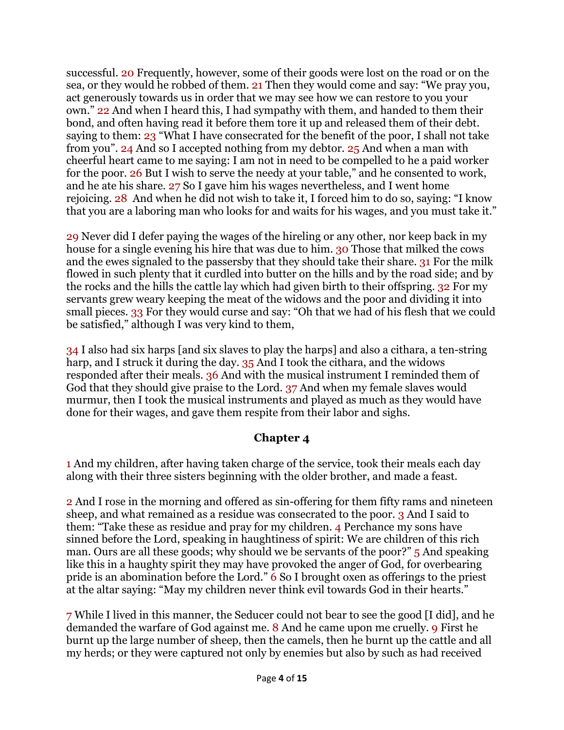successful. 20 Frequently, however, some of their goods were lost on the road or on the sea, or they would he robbed of them. 21 Then they would come and say: "We pray you, act generously towards us in order that we may see how we can restore to you your own." 22 And when I heard this, I had sympathy with them, and handed to them their bond, and often having read it before them tore it up and released them of their debt. saying to them: 23 "What I have consecrated for the benefit of the poor, I shall not take from you". 24 And so I accepted nothing from my debtor. 25 And when a man with cheerful heart came to me saying: I am not in need to be compelled to he a paid worker for the poor. 26 But I wish to serve the needy at your table," and he consented to work, and he ate his share. 27 So I gave him his wages nevertheless, and I went home rejoicing. 28 And when he did not wish to take it, I forced him to do so, saying: "I know that you are a laboring man who looks for and waits for his wages, and you must take it."

29 Never did I defer paying the wages of the hireling or any other, nor keep back in my house for a single evening his hire that was due to him. 30 Those that milked the cows and the ewes signaled to the passersby that they should take their share. 31 For the milk flowed in such plenty that it curdled into butter on the hills and by the road side; and by the rocks and the hills the cattle lay which had given birth to their offspring. 32 For my servants grew weary keeping the meat of the widows and the poor and dividing it into small pieces. 33 For they would curse and say: "Oh that we had of his flesh that we could be satisfied," although I was very kind to them,

34 I also had six harps [and six slaves to play the harps] and also a cithara, a ten-string harp, and I struck it during the day. 35 And I took the cithara, and the widows responded after their meals. 36 And with the musical instrument I reminded them of God that they should give praise to the Lord. 37 And when my female slaves would murmur, then I took the musical instruments and played as much as they would have done for their wages, and gave them respite from their labor and sighs.

## **Chapter 4**

1 And my children, after having taken charge of the service, took their meals each day along with their three sisters beginning with the older brother, and made a feast.

2 And I rose in the morning and offered as sin-offering for them fifty rams and nineteen sheep, and what remained as a residue was consecrated to the poor. 3 And I said to them: "Take these as residue and pray for my children. 4 Perchance my sons have sinned before the Lord, speaking in haughtiness of spirit: We are children of this rich man. Ours are all these goods; why should we be servants of the poor?" 5 And speaking like this in a haughty spirit they may have provoked the anger of God, for overbearing pride is an abomination before the Lord." 6 So I brought oxen as offerings to the priest at the altar saying: "May my children never think evil towards God in their hearts."

7 While I lived in this manner, the Seducer could not bear to see the good [I did], and he demanded the warfare of God against me. 8 And he came upon me cruelly, 9 First he burnt up the large number of sheep, then the camels, then he burnt up the cattle and all my herds; or they were captured not only by enemies but also by such as had received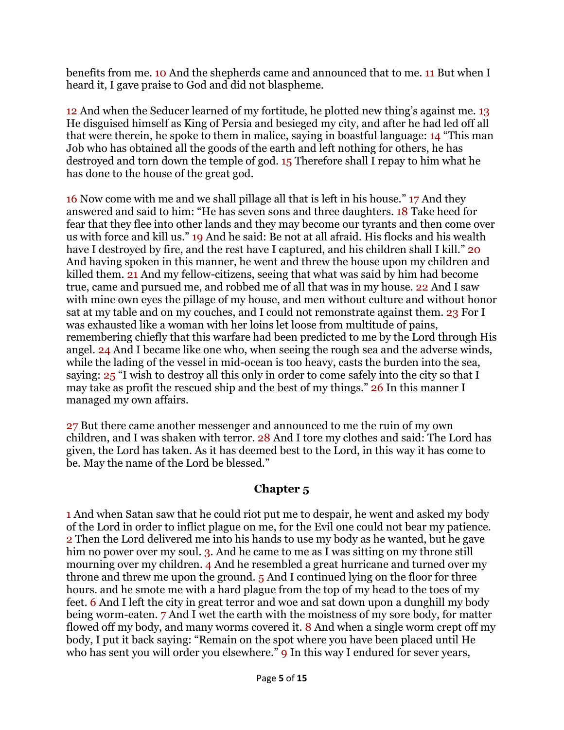benefits from me. 10 And the shepherds came and announced that to me. 11 But when I heard it, I gave praise to God and did not blaspheme.

12 And when the Seducer learned of my fortitude, he plotted new thing's against me. 13 He disguised himself as King of Persia and besieged my city, and after he had led off all that were therein, he spoke to them in malice, saying in boastful language: 14 "This man Job who has obtained all the goods of the earth and left nothing for others, he has destroyed and torn down the temple of god. 15 Therefore shall I repay to him what he has done to the house of the great god.

16 Now come with me and we shall pillage all that is left in his house." 17 And they answered and said to him: "He has seven sons and three daughters. 18 Take heed for fear that they flee into other lands and they may become our tyrants and then come over us with force and kill us." 19 And he said: Be not at all afraid. His flocks and his wealth have I destroyed by fire, and the rest have I captured, and his children shall I kill." 20 And having spoken in this manner, he went and threw the house upon my children and killed them. 21 And my fellow-citizens, seeing that what was said by him had become true, came and pursued me, and robbed me of all that was in my house. 22 And I saw with mine own eyes the pillage of my house, and men without culture and without honor sat at my table and on my couches, and I could not remonstrate against them. 23 For I was exhausted like a woman with her loins let loose from multitude of pains, remembering chiefly that this warfare had been predicted to me by the Lord through His angel. 24 And I became like one who, when seeing the rough sea and the adverse winds, while the lading of the vessel in mid-ocean is too heavy, casts the burden into the sea, saying: 25 "I wish to destroy all this only in order to come safely into the city so that I may take as profit the rescued ship and the best of my things." 26 In this manner I managed my own affairs.

27 But there came another messenger and announced to me the ruin of my own children, and I was shaken with terror. 28 And I tore my clothes and said: The Lord has given, the Lord has taken. As it has deemed best to the Lord, in this way it has come to be. May the name of the Lord be blessed."

#### **Chapter 5**

1 And when Satan saw that he could riot put me to despair, he went and asked my body of the Lord in order to inflict plague on me, for the Evil one could not bear my patience. 2 Then the Lord delivered me into his hands to use my body as he wanted, but he gave him no power over my soul. 3. And he came to me as I was sitting on my throne still mourning over my children. 4 And he resembled a great hurricane and turned over my throne and threw me upon the ground. 5 And I continued lying on the floor for three hours. and he smote me with a hard plague from the top of my head to the toes of my feet. 6 And I left the city in great terror and woe and sat down upon a dunghill my body being worm-eaten. 7 And I wet the earth with the moistness of my sore body, for matter flowed off my body, and many worms covered it. 8 And when a single worm crept off my body, I put it back saying: "Remain on the spot where you have been placed until He who has sent you will order you elsewhere." **9** In this way I endured for sever years,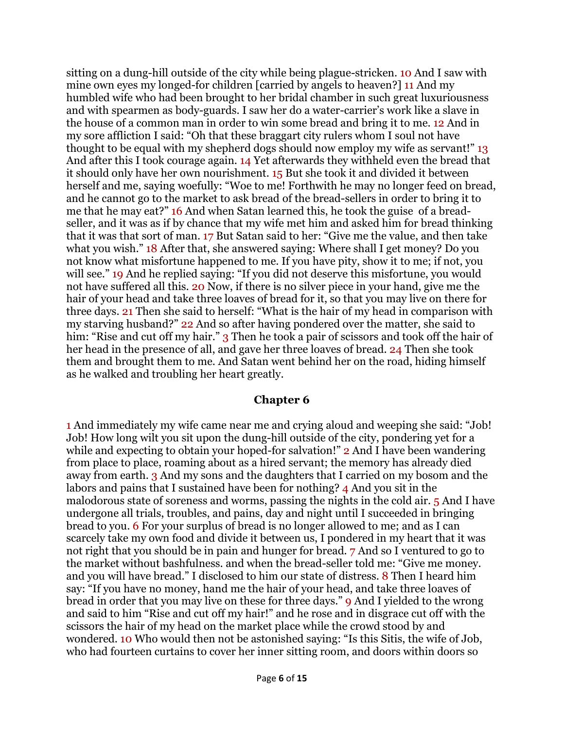sitting on a dung-hill outside of the city while being plague-stricken. 10 And I saw with mine own eyes my longed-for children [carried by angels to heaven?] 11 And my humbled wife who had been brought to her bridal chamber in such great luxuriousness and with spearmen as body-guards. I saw her do a water-carrier's work like a slave in the house of a common man in order to win some bread and bring it to me. 12 And in my sore affliction I said: "Oh that these braggart city rulers whom I soul not have thought to be equal with my shepherd dogs should now employ my wife as servant!" 13 And after this I took courage again. 14 Yet afterwards they withheld even the bread that it should only have her own nourishment. 15 But she took it and divided it between herself and me, saying woefully: "Woe to me! Forthwith he may no longer feed on bread, and he cannot go to the market to ask bread of the bread-sellers in order to bring it to me that he may eat?" 16 And when Satan learned this, he took the guise of a breadseller, and it was as if by chance that my wife met him and asked him for bread thinking that it was that sort of man. 17 But Satan said to her: "Give me the value, and then take what you wish." 18 After that, she answered saying: Where shall I get money? Do you not know what misfortune happened to me. If you have pity, show it to me; if not, you will see." 19 And he replied saying: "If you did not deserve this misfortune, you would not have suffered all this. 20 Now, if there is no silver piece in your hand, give me the hair of your head and take three loaves of bread for it, so that you may live on there for three days. 21 Then she said to herself: "What is the hair of my head in comparison with my starving husband?" 22 And so after having pondered over the matter, she said to him: "Rise and cut off my hair." 3 Then he took a pair of scissors and took off the hair of her head in the presence of all, and gave her three loaves of bread. 24 Then she took them and brought them to me. And Satan went behind her on the road, hiding himself as he walked and troubling her heart greatly.

#### **Chapter 6**

1 And immediately my wife came near me and crying aloud and weeping she said: "Job! Job! How long wilt you sit upon the dung-hill outside of the city, pondering yet for a while and expecting to obtain your hoped-for salvation!" 2 And I have been wandering from place to place, roaming about as a hired servant; the memory has already died away from earth. 3 And my sons and the daughters that I carried on my bosom and the labors and pains that I sustained have been for nothing? 4 And you sit in the malodorous state of soreness and worms, passing the nights in the cold air. 5 And I have undergone all trials, troubles, and pains, day and night until I succeeded in bringing bread to you. 6 For your surplus of bread is no longer allowed to me; and as I can scarcely take my own food and divide it between us, I pondered in my heart that it was not right that you should be in pain and hunger for bread. 7 And so I ventured to go to the market without bashfulness. and when the bread-seller told me: "Give me money. and you will have bread." I disclosed to him our state of distress. 8 Then I heard him say: "If you have no money, hand me the hair of your head, and take three loaves of bread in order that you may live on these for three days." 9 And I yielded to the wrong and said to him "Rise and cut off my hair!" and he rose and in disgrace cut off with the scissors the hair of my head on the market place while the crowd stood by and wondered. 10 Who would then not be astonished saying: "Is this Sitis, the wife of Job, who had fourteen curtains to cover her inner sitting room, and doors within doors so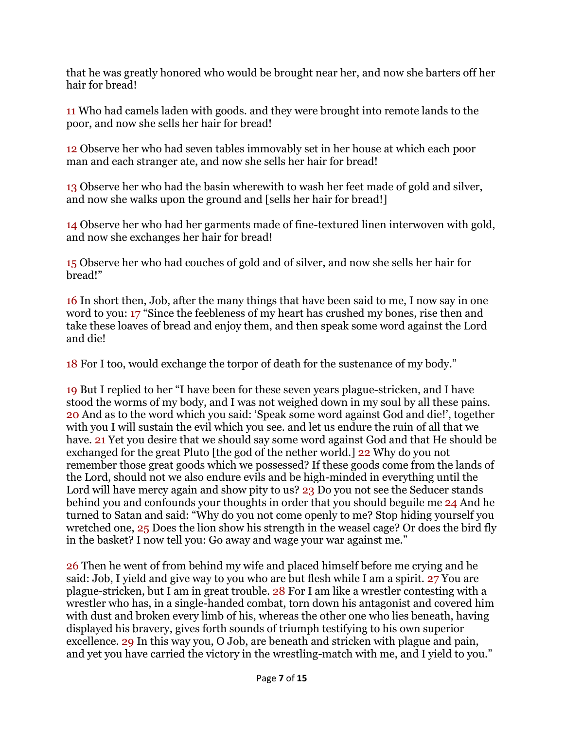that he was greatly honored who would be brought near her, and now she barters off her hair for bread!

11 Who had camels laden with goods. and they were brought into remote lands to the poor, and now she sells her hair for bread!

12 Observe her who had seven tables immovably set in her house at which each poor man and each stranger ate, and now she sells her hair for bread!

13 Observe her who had the basin wherewith to wash her feet made of gold and silver, and now she walks upon the ground and [sells her hair for bread!]

14 Observe her who had her garments made of fine-textured linen interwoven with gold, and now she exchanges her hair for bread!

15 Observe her who had couches of gold and of silver, and now she sells her hair for bread!"

16 In short then, Job, after the many things that have been said to me, I now say in one word to you: 17 "Since the feebleness of my heart has crushed my bones, rise then and take these loaves of bread and enjoy them, and then speak some word against the Lord and die!

18 For I too, would exchange the torpor of death for the sustenance of my body."

19 But I replied to her "I have been for these seven years plague-stricken, and I have stood the worms of my body, and I was not weighed down in my soul by all these pains. 20 And as to the word which you said: 'Speak some word against God and die!', together with you I will sustain the evil which you see. and let us endure the ruin of all that we have. 21 Yet you desire that we should say some word against God and that He should be exchanged for the great Pluto [the god of the nether world.] 22 Why do you not remember those great goods which we possessed? If these goods come from the lands of the Lord, should not we also endure evils and be high-minded in everything until the Lord will have mercy again and show pity to us? 23 Do you not see the Seducer stands behind you and confounds your thoughts in order that you should beguile me 24 And he turned to Satan and said: "Why do you not come openly to me? Stop hiding yourself you wretched one, 25 Does the lion show his strength in the weasel cage? Or does the bird fly in the basket? I now tell you: Go away and wage your war against me."

26 Then he went of from behind my wife and placed himself before me crying and he said: Job, I yield and give way to you who are but flesh while I am a spirit. 27 You are plague-stricken, but I am in great trouble. 28 For I am like a wrestler contesting with a wrestler who has, in a single-handed combat, torn down his antagonist and covered him with dust and broken every limb of his, whereas the other one who lies beneath, having displayed his bravery, gives forth sounds of triumph testifying to his own superior excellence. 29 In this way you, O Job, are beneath and stricken with plague and pain, and yet you have carried the victory in the wrestling-match with me, and I yield to you."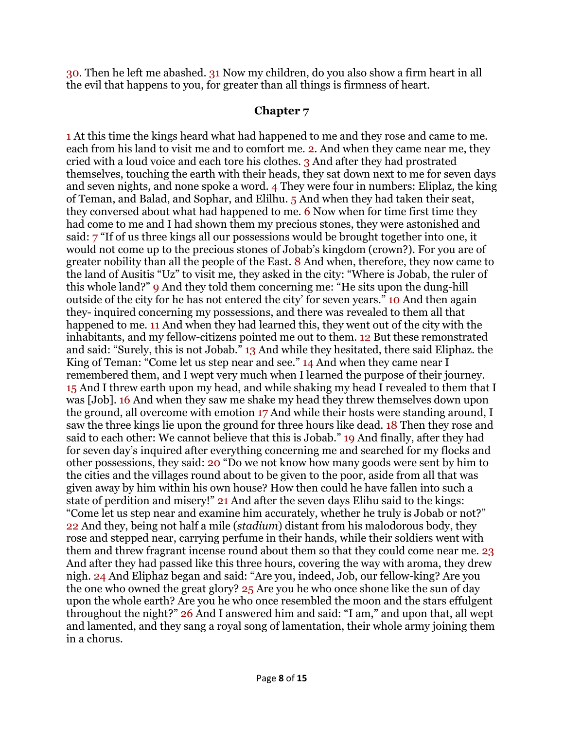30. Then he left me abashed. 31 Now my children, do you also show a firm heart in all the evil that happens to you, for greater than all things is firmness of heart.

#### **Chapter 7**

1 At this time the kings heard what had happened to me and they rose and came to me. each from his land to visit me and to comfort me. 2. And when they came near me, they cried with a loud voice and each tore his clothes. 3 And after they had prostrated themselves, touching the earth with their heads, they sat down next to me for seven days and seven nights, and none spoke a word. 4 They were four in numbers: Eliplaz, the king of Teman, and Balad, and Sophar, and Elilhu. 5 And when they had taken their seat, they conversed about what had happened to me. 6 Now when for time first time they had come to me and I had shown them my precious stones, they were astonished and said: 7 "If of us three kings all our possessions would be brought together into one, it would not come up to the precious stones of Jobab's kingdom (crown?). For you are of greater nobility than all the people of the East. 8 And when, therefore, they now came to the land of Ausitis "Uz" to visit me, they asked in the city: "Where is Jobab, the ruler of this whole land?" 9 And they told them concerning me: "He sits upon the dung-hill outside of the city for he has not entered the city' for seven years." 10 And then again they- inquired concerning my possessions, and there was revealed to them all that happened to me. 11 And when they had learned this, they went out of the city with the inhabitants, and my fellow-citizens pointed me out to them. 12 But these remonstrated and said: "Surely, this is not Jobab." 13 And while they hesitated, there said Eliphaz. the King of Teman: "Come let us step near and see." 14 And when they came near I remembered them, and I wept very much when I learned the purpose of their journey. 15 And I threw earth upon my head, and while shaking my head I revealed to them that I was [Job]. 16 And when they saw me shake my head they threw themselves down upon the ground, all overcome with emotion 17 And while their hosts were standing around, I saw the three kings lie upon the ground for three hours like dead. 18 Then they rose and said to each other: We cannot believe that this is Jobab." 19 And finally, after they had for seven day's inquired after everything concerning me and searched for my flocks and other possessions, they said: 20 "Do we not know how many goods were sent by him to the cities and the villages round about to be given to the poor, aside from all that was given away by him within his own house? How then could he have fallen into such a state of perdition and misery!" 21 And after the seven days Elihu said to the kings: "Come let us step near and examine him accurately, whether he truly is Jobab or not?" 22 And they, being not half a mile (*stadium*) distant from his malodorous body, they rose and stepped near, carrying perfume in their hands, while their soldiers went with them and threw fragrant incense round about them so that they could come near me. 23 And after they had passed like this three hours, covering the way with aroma, they drew nigh. 24 And Eliphaz began and said: "Are you, indeed, Job, our fellow-king? Are you the one who owned the great glory? 25 Are you he who once shone like the sun of day upon the whole earth? Are you he who once resembled the moon and the stars effulgent throughout the night?" 26 And I answered him and said: "I am," and upon that, all wept and lamented, and they sang a royal song of lamentation, their whole army joining them in a chorus.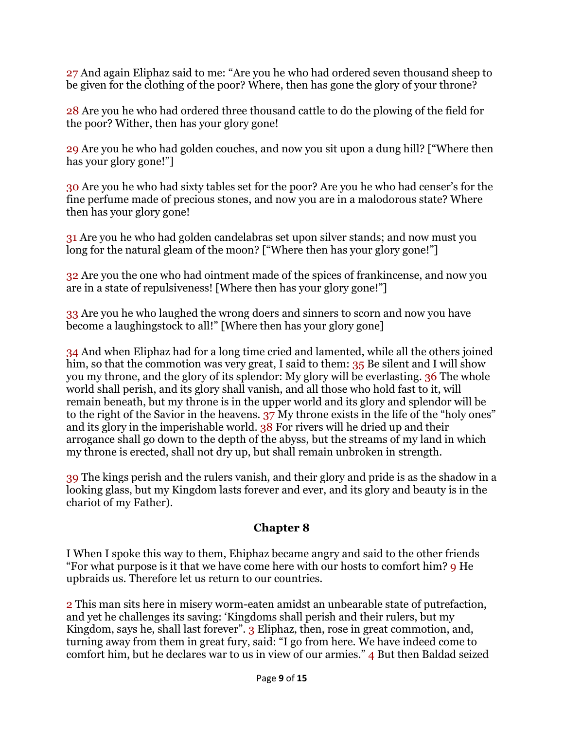27 And again Eliphaz said to me: "Are you he who had ordered seven thousand sheep to be given for the clothing of the poor? Where, then has gone the glory of your throne?

28 Are you he who had ordered three thousand cattle to do the plowing of the field for the poor? Wither, then has your glory gone!

29 Are you he who had golden couches, and now you sit upon a dung hill? ["Where then has your glory gone!"]

30 Are you he who had sixty tables set for the poor? Are you he who had censer's for the fine perfume made of precious stones, and now you are in a malodorous state? Where then has your glory gone!

31 Are you he who had golden candelabras set upon silver stands; and now must you long for the natural gleam of the moon? ["Where then has your glory gone!"]

32 Are you the one who had ointment made of the spices of frankincense, and now you are in a state of repulsiveness! [Where then has your glory gone!"]

33 Are you he who laughed the wrong doers and sinners to scorn and now you have become a laughingstock to all!" [Where then has your glory gone]

34 And when Eliphaz had for a long time cried and lamented, while all the others joined him, so that the commotion was very great, I said to them: 35 Be silent and I will show you my throne, and the glory of its splendor: My glory will be everlasting. 36 The whole world shall perish, and its glory shall vanish, and all those who hold fast to it, will remain beneath, but my throne is in the upper world and its glory and splendor will be to the right of the Savior in the heavens. 37 My throne exists in the life of the "holy ones" and its glory in the imperishable world. 38 For rivers will he dried up and their arrogance shall go down to the depth of the abyss, but the streams of my land in which my throne is erected, shall not dry up, but shall remain unbroken in strength.

39 The kings perish and the rulers vanish, and their glory and pride is as the shadow in a looking glass, but my Kingdom lasts forever and ever, and its glory and beauty is in the chariot of my Father).

## **Chapter 8**

I When I spoke this way to them, Ehiphaz became angry and said to the other friends "For what purpose is it that we have come here with our hosts to comfort him? 9 He upbraids us. Therefore let us return to our countries.

2 This man sits here in misery worm-eaten amidst an unbearable state of putrefaction, and yet he challenges its saving: 'Kingdoms shall perish and their rulers, but my Kingdom, says he, shall last forever". 3 Eliphaz, then, rose in great commotion, and, turning away from them in great fury, said: "I go from here. We have indeed come to comfort him, but he declares war to us in view of our armies." 4 But then Baldad seized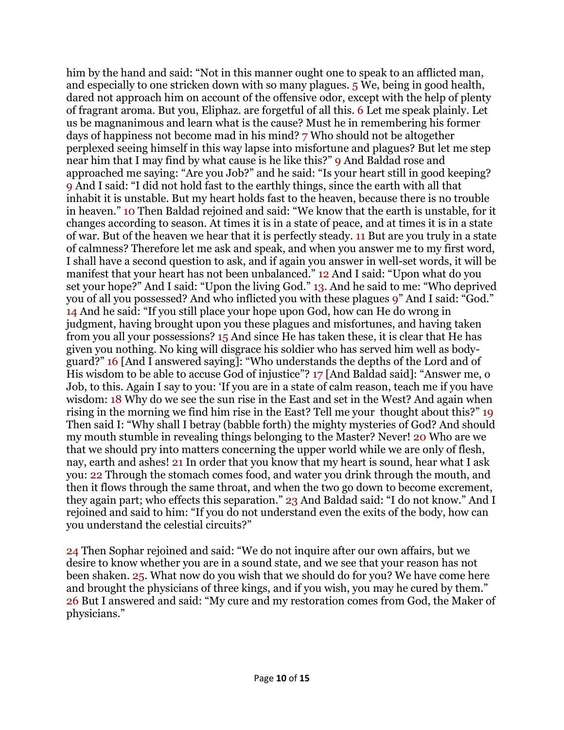him by the hand and said: "Not in this manner ought one to speak to an afflicted man, and especially to one stricken down with so many plagues. 5 We, being in good health, dared not approach him on account of the offensive odor, except with the help of plenty of fragrant aroma. But you, Eliphaz. are forgetful of all this. 6 Let me speak plainly. Let us be magnanimous and learn what is the cause? Must he in remembering his former days of happiness not become mad in his mind? 7 Who should not be altogether perplexed seeing himself in this way lapse into misfortune and plagues? But let me step near him that I may find by what cause is he like this?" 9 And Baldad rose and approached me saying: "Are you Job?" and he said: "Is your heart still in good keeping? 9 And I said: "I did not hold fast to the earthly things, since the earth with all that inhabit it is unstable. But my heart holds fast to the heaven, because there is no trouble in heaven." 10 Then Baldad rejoined and said: "We know that the earth is unstable, for it changes according to season. At times it is in a state of peace, and at times it is in a state of war. But of the heaven we hear that it is perfectly steady. 11 But are you truly in a state of calmness? Therefore let me ask and speak, and when you answer me to my first word, I shall have a second question to ask, and if again you answer in well-set words, it will be manifest that your heart has not been unbalanced." 12 And I said: "Upon what do you set your hope?" And I said: "Upon the living God." 13. And he said to me: "Who deprived you of all you possessed? And who inflicted you with these plagues 9" And I said: "God." 14 And he said: "If you still place your hope upon God, how can He do wrong in judgment, having brought upon you these plagues and misfortunes, and having taken from you all your possessions? 15 And since He has taken these, it is clear that He has given you nothing. No king will disgrace his soldier who has served him well as bodyguard?" 16 [And I answered saying]: "Who understands the depths of the Lord and of His wisdom to be able to accuse God of injustice"? 17 [And Baldad said]: "Answer me, o Job, to this. Again I say to you: 'If you are in a state of calm reason, teach me if you have wisdom: 18 Why do we see the sun rise in the East and set in the West? And again when rising in the morning we find him rise in the East? Tell me your thought about this?" 19 Then said I: "Why shall I betray (babble forth) the mighty mysteries of God? And should my mouth stumble in revealing things belonging to the Master? Never! 20 Who are we that we should pry into matters concerning the upper world while we are only of flesh, nay, earth and ashes! 21 In order that you know that my heart is sound, hear what I ask you: 22 Through the stomach comes food, and water you drink through the mouth, and then it flows through the same throat, and when the two go down to become excrement, they again part; who effects this separation." 23 And Baldad said: "I do not know." And I rejoined and said to him: "If you do not understand even the exits of the body, how can you understand the celestial circuits?"

24 Then Sophar rejoined and said: "We do not inquire after our own affairs, but we desire to know whether you are in a sound state, and we see that your reason has not been shaken. 25. What now do you wish that we should do for you? We have come here and brought the physicians of three kings, and if you wish, you may he cured by them." 26 But I answered and said: "My cure and my restoration comes from God, the Maker of physicians."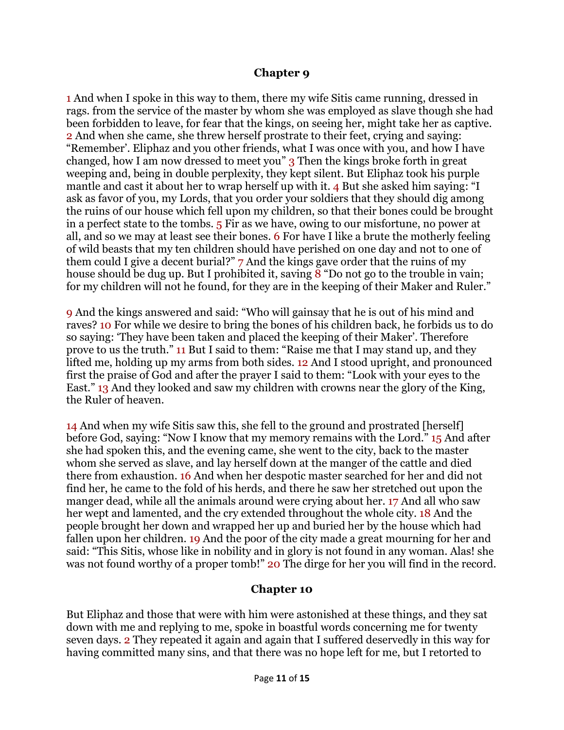#### **Chapter 9**

1 And when I spoke in this way to them, there my wife Sitis came running, dressed in rags. from the service of the master by whom she was employed as slave though she had been forbidden to leave, for fear that the kings, on seeing her, might take her as captive. 2 And when she came, she threw herself prostrate to their feet, crying and saying: "Remember'. Eliphaz and you other friends, what I was once with you, and how I have changed, how I am now dressed to meet you" 3 Then the kings broke forth in great weeping and, being in double perplexity, they kept silent. But Eliphaz took his purple mantle and cast it about her to wrap herself up with it. 4 But she asked him saying: "I ask as favor of you, my Lords, that you order your soldiers that they should dig among the ruins of our house which fell upon my children, so that their bones could be brought in a perfect state to the tombs. 5 Fir as we have, owing to our misfortune, no power at all, and so we may at least see their bones. 6 For have I like a brute the motherly feeling of wild beasts that my ten children should have perished on one day and not to one of them could I give a decent burial?" 7 And the kings gave order that the ruins of my house should be dug up. But I prohibited it, saving 8 "Do not go to the trouble in vain; for my children will not he found, for they are in the keeping of their Maker and Ruler."

9 And the kings answered and said: "Who will gainsay that he is out of his mind and raves? 10 For while we desire to bring the bones of his children back, he forbids us to do so saying: 'They have been taken and placed the keeping of their Maker'. Therefore prove to us the truth." 11 But I said to them: "Raise me that I may stand up, and they lifted me, holding up my arms from both sides. 12 And I stood upright, and pronounced first the praise of God and after the prayer I said to them: "Look with your eyes to the East." 13 And they looked and saw my children with crowns near the glory of the King, the Ruler of heaven.

14 And when my wife Sitis saw this, she fell to the ground and prostrated [herself] before God, saying: "Now I know that my memory remains with the Lord." 15 And after she had spoken this, and the evening came, she went to the city, back to the master whom she served as slave, and lay herself down at the manger of the cattle and died there from exhaustion. 16 And when her despotic master searched for her and did not find her, he came to the fold of his herds, and there he saw her stretched out upon the manger dead, while all the animals around were crying about her. 17 And all who saw her wept and lamented, and the cry extended throughout the whole city. 18 And the people brought her down and wrapped her up and buried her by the house which had fallen upon her children. 19 And the poor of the city made a great mourning for her and said: "This Sitis, whose like in nobility and in glory is not found in any woman. Alas! she was not found worthy of a proper tomb!" 20 The dirge for her you will find in the record.

#### **Chapter 10**

But Eliphaz and those that were with him were astonished at these things, and they sat down with me and replying to me, spoke in boastful words concerning me for twenty seven days. 2 They repeated it again and again that I suffered deservedly in this way for having committed many sins, and that there was no hope left for me, but I retorted to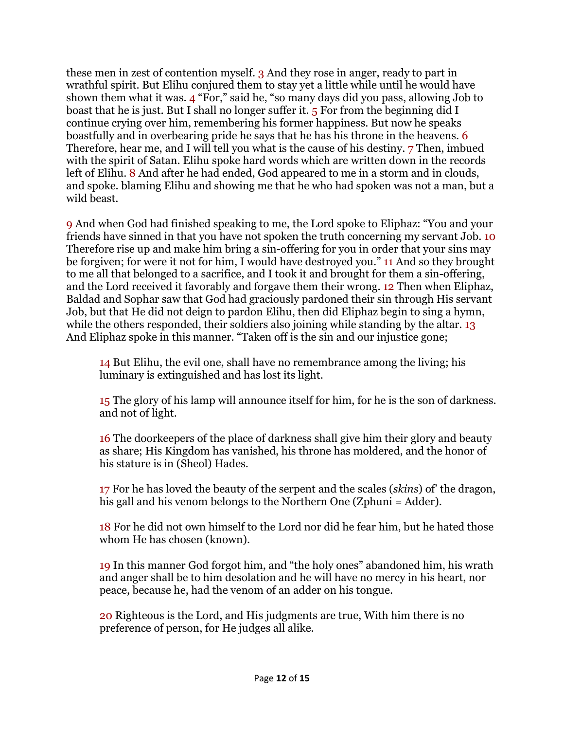these men in zest of contention myself. 3 And they rose in anger, ready to part in wrathful spirit. But Elihu conjured them to stay yet a little while until he would have shown them what it was. 4 "For," said he, "so many days did you pass, allowing Job to boast that he is just. But I shall no longer suffer it. 5 For from the beginning did I continue crying over him, remembering his former happiness. But now he speaks boastfully and in overbearing pride he says that he has his throne in the heavens. 6 Therefore, hear me, and I will tell you what is the cause of his destiny. 7 Then, imbued with the spirit of Satan. Elihu spoke hard words which are written down in the records left of Elihu. 8 And after he had ended, God appeared to me in a storm and in clouds, and spoke. blaming Elihu and showing me that he who had spoken was not a man, but a wild beast.

9 And when God had finished speaking to me, the Lord spoke to Eliphaz: "You and your friends have sinned in that you have not spoken the truth concerning my servant Job. 10 Therefore rise up and make him bring a sin-offering for you in order that your sins may be forgiven; for were it not for him, I would have destroyed you." 11 And so they brought to me all that belonged to a sacrifice, and I took it and brought for them a sin-offering, and the Lord received it favorably and forgave them their wrong. 12 Then when Eliphaz, Baldad and Sophar saw that God had graciously pardoned their sin through His servant Job, but that He did not deign to pardon Elihu, then did Eliphaz begin to sing a hymn, while the others responded, their soldiers also joining while standing by the altar. 13 And Eliphaz spoke in this manner. "Taken off is the sin and our injustice gone;

14 But Elihu, the evil one, shall have no remembrance among the living; his luminary is extinguished and has lost its light.

15 The glory of his lamp will announce itself for him, for he is the son of darkness. and not of light.

16 The doorkeepers of the place of darkness shall give him their glory and beauty as share; His Kingdom has vanished, his throne has moldered, and the honor of his stature is in (Sheol) Hades.

17 For he has loved the beauty of the serpent and the scales (*skins*) of' the dragon, his gall and his venom belongs to the Northern One (Zphuni = Adder).

18 For he did not own himself to the Lord nor did he fear him, but he hated those whom He has chosen (known).

19 In this manner God forgot him, and "the holy ones" abandoned him, his wrath and anger shall be to him desolation and he will have no mercy in his heart, nor peace, because he, had the venom of an adder on his tongue.

20 Righteous is the Lord, and His judgments are true, With him there is no preference of person, for He judges all alike.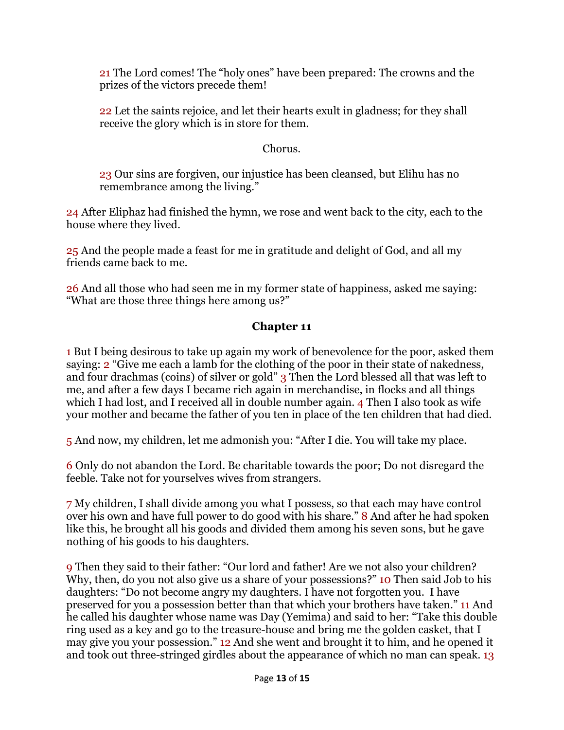21 The Lord comes! The "holy ones" have been prepared: The crowns and the prizes of the victors precede them!

22 Let the saints rejoice, and let their hearts exult in gladness; for they shall receive the glory which is in store for them.

### Chorus.

23 Our sins are forgiven, our injustice has been cleansed, but Elihu has no remembrance among the living."

24 After Eliphaz had finished the hymn, we rose and went back to the city, each to the house where they lived.

25 And the people made a feast for me in gratitude and delight of God, and all my friends came back to me.

26 And all those who had seen me in my former state of happiness, asked me saying: "What are those three things here among us?"

## **Chapter 11**

1 But I being desirous to take up again my work of benevolence for the poor, asked them saying: 2 "Give me each a lamb for the clothing of the poor in their state of nakedness, and four drachmas (coins) of silver or gold" 3 Then the Lord blessed all that was left to me, and after a few days I became rich again in merchandise, in flocks and all things which I had lost, and I received all in double number again. 4 Then I also took as wife your mother and became the father of you ten in place of the ten children that had died.

5 And now, my children, let me admonish you: "After I die. You will take my place.

6 Only do not abandon the Lord. Be charitable towards the poor; Do not disregard the feeble. Take not for yourselves wives from strangers.

7 My children, I shall divide among you what I possess, so that each may have control over his own and have full power to do good with his share." 8 And after he had spoken like this, he brought all his goods and divided them among his seven sons, but he gave nothing of his goods to his daughters.

9 Then they said to their father: "Our lord and father! Are we not also your children? Why, then, do you not also give us a share of your possessions?" 10 Then said Job to his daughters: "Do not become angry my daughters. I have not forgotten you. I have preserved for you a possession better than that which your brothers have taken." 11 And he called his daughter whose name was Day (Yemima) and said to her: "Take this double ring used as a key and go to the treasure-house and bring me the golden casket, that I may give you your possession." 12 And she went and brought it to him, and he opened it and took out three-stringed girdles about the appearance of which no man can speak. 13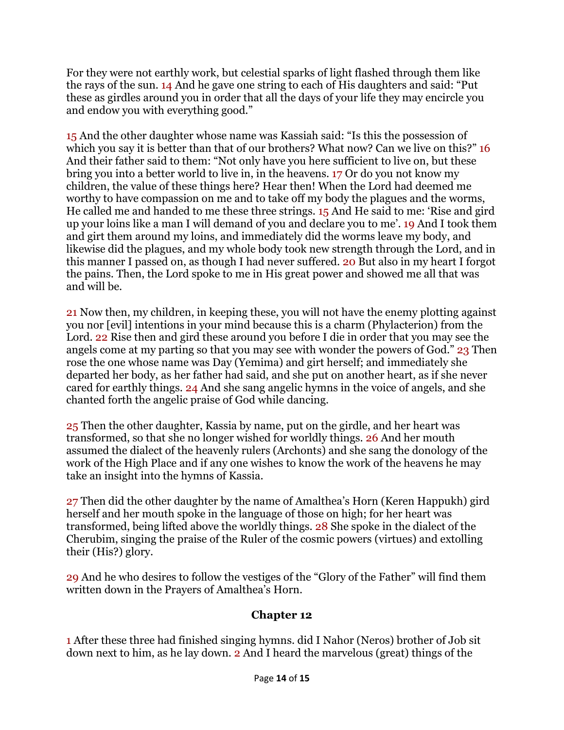For they were not earthly work, but celestial sparks of light flashed through them like the rays of the sun. 14 And he gave one string to each of His daughters and said: "Put these as girdles around you in order that all the days of your life they may encircle you and endow you with everything good."

15 And the other daughter whose name was Kassiah said: "Is this the possession of which you say it is better than that of our brothers? What now? Can we live on this?" 16 And their father said to them: "Not only have you here sufficient to live on, but these bring you into a better world to live in, in the heavens. 17 Or do you not know my children, the value of these things here? Hear then! When the Lord had deemed me worthy to have compassion on me and to take off my body the plagues and the worms, He called me and handed to me these three strings. 15 And He said to me: 'Rise and gird up your loins like a man I will demand of you and declare you to me'. 19 And I took them and girt them around my loins, and immediately did the worms leave my body, and likewise did the plagues, and my whole body took new strength through the Lord, and in this manner I passed on, as though I had never suffered. 20 But also in my heart I forgot the pains. Then, the Lord spoke to me in His great power and showed me all that was and will be.

21 Now then, my children, in keeping these, you will not have the enemy plotting against you nor [evil] intentions in your mind because this is a charm (Phylacterion) from the Lord. 22 Rise then and gird these around you before I die in order that you may see the angels come at my parting so that you may see with wonder the powers of God." 23 Then rose the one whose name was Day (Yemima) and girt herself; and immediately she departed her body, as her father had said, and she put on another heart, as if she never cared for earthly things. 24 And she sang angelic hymns in the voice of angels, and she chanted forth the angelic praise of God while dancing.

25 Then the other daughter, Kassia by name, put on the girdle, and her heart was transformed, so that she no longer wished for worldly things. 26 And her mouth assumed the dialect of the heavenly rulers (Archonts) and she sang the donology of the work of the High Place and if any one wishes to know the work of the heavens he may take an insight into the hymns of Kassia.

27 Then did the other daughter by the name of Amalthea's Horn (Keren Happukh) gird herself and her mouth spoke in the language of those on high; for her heart was transformed, being lifted above the worldly things. 28 She spoke in the dialect of the Cherubim, singing the praise of the Ruler of the cosmic powers (virtues) and extolling their (His?) glory.

29 And he who desires to follow the vestiges of the "Glory of the Father" will find them written down in the Prayers of Amalthea's Horn.

## **Chapter 12**

1 After these three had finished singing hymns. did I Nahor (Neros) brother of Job sit down next to him, as he lay down. 2 And I heard the marvelous (great) things of the